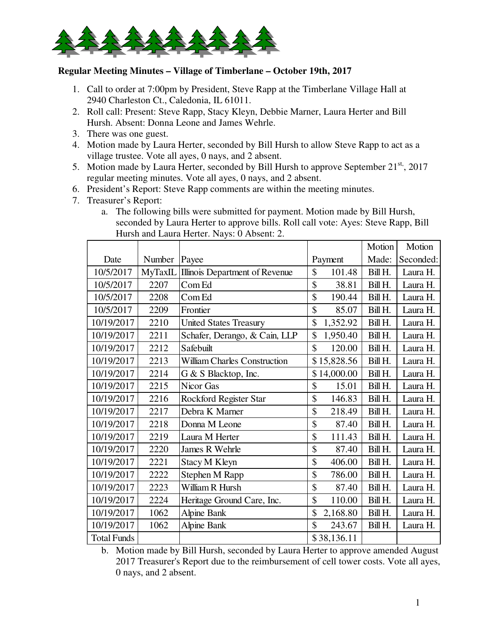

## **Regular Meeting Minutes – Village of Timberlane – October 19th, 2017**

- 1. Call to order at 7:00pm by President, Steve Rapp at the Timberlane Village Hall at 2940 Charleston Ct., Caledonia, IL 61011.
- 2. Roll call: Present: Steve Rapp, Stacy Kleyn, Debbie Marner, Laura Herter and Bill Hursh. Absent: Donna Leone and James Wehrle.
- 3. There was one guest.
- 4. Motion made by Laura Herter, seconded by Bill Hursh to allow Steve Rapp to act as a village trustee. Vote all ayes, 0 nays, and 2 absent.
- 5. Motion made by Laura Herter, seconded by Bill Hursh to approve September  $21^{st}$ ,  $2017$ regular meeting minutes. Vote all ayes, 0 nays, and 2 absent.
- 6. President's Report: Steve Rapp comments are within the meeting minutes.
- 7. Treasurer's Report:
	- a. The following bills were submitted for payment. Motion made by Bill Hursh, seconded by Laura Herter to approve bills. Roll call vote: Ayes: Steve Rapp, Bill Hursh and Laura Herter. Nays: 0 Absent: 2.

|                    |         |                                     |                         | Motion  | Motion    |
|--------------------|---------|-------------------------------------|-------------------------|---------|-----------|
| Date               | Number  | Payee                               | Payment                 | Made:   | Seconded: |
| 10/5/2017          | MyTaxIL | Illinois Department of Revenue      | \$<br>101.48            | Bill H. | Laura H.  |
| 10/5/2017          | 2207    | Com Ed                              | \$<br>38.81             | Bill H. | Laura H.  |
| 10/5/2017          | 2208    | Com Ed                              | \$<br>190.44            | Bill H. | Laura H.  |
| 10/5/2017          | 2209    | Frontier                            | \$<br>85.07             | Bill H. | Laura H.  |
| 10/19/2017         | 2210    | <b>United States Treasury</b>       | \$<br>1,352.92          | Bill H. | Laura H.  |
| 10/19/2017         | 2211    | Schafer, Derango, & Cain, LLP       | \$<br>1,950.40          | Bill H. | Laura H.  |
| 10/19/2017         | 2212    | Safebuilt                           | $\mathcal{S}$<br>120.00 | Bill H. | Laura H.  |
| 10/19/2017         | 2213    | <b>William Charles Construction</b> | \$15,828.56             | Bill H. | Laura H.  |
| 10/19/2017         | 2214    | G & S Blacktop, Inc.                | \$14,000.00             | Bill H. | Laura H.  |
| 10/19/2017         | 2215    | Nicor Gas                           | \$<br>15.01             | Bill H. | Laura H.  |
| 10/19/2017         | 2216    | Rockford Register Star              | \$<br>146.83            | Bill H. | Laura H.  |
| 10/19/2017         | 2217    | Debra K Marner                      | \$<br>218.49            | Bill H. | Laura H.  |
| 10/19/2017         | 2218    | Donna M Leone                       | \$<br>87.40             | Bill H. | Laura H.  |
| 10/19/2017         | 2219    | Laura M Herter                      | \$<br>111.43            | Bill H. | Laura H.  |
| 10/19/2017         | 2220    | James R Wehrle                      | \$<br>87.40             | Bill H. | Laura H.  |
| 10/19/2017         | 2221    | Stacy M Kleyn                       | \$<br>406.00            | Bill H. | Laura H.  |
| 10/19/2017         | 2222    | Stephen M Rapp                      | \$<br>786.00            | Bill H. | Laura H.  |
| 10/19/2017         | 2223    | William R Hursh                     | \$<br>87.40             | Bill H. | Laura H.  |
| 10/19/2017         | 2224    | Heritage Ground Care, Inc.          | \$<br>110.00            | Bill H. | Laura H.  |
| 10/19/2017         | 1062    | Alpine Bank                         | \$<br>2,168.80          | Bill H. | Laura H.  |
| 10/19/2017         | 1062    | Alpine Bank                         | \$<br>243.67            | Bill H. | Laura H.  |
| <b>Total Funds</b> |         |                                     | \$38,136.11             |         |           |

b. Motion made by Bill Hursh, seconded by Laura Herter to approve amended August 2017 Treasurer's Report due to the reimbursement of cell tower costs. Vote all ayes, 0 nays, and 2 absent.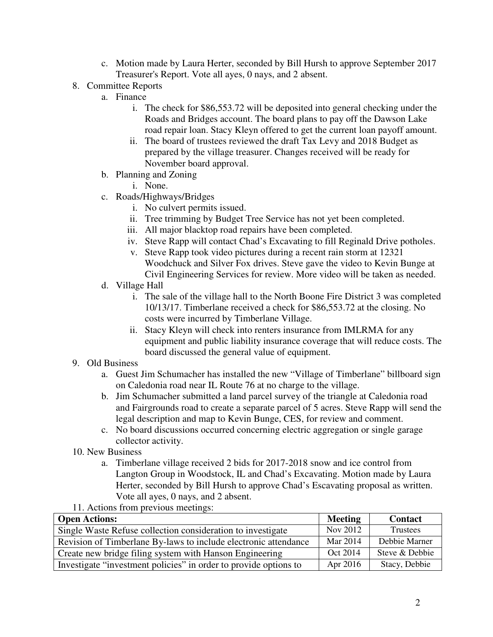- c. Motion made by Laura Herter, seconded by Bill Hursh to approve September 2017 Treasurer's Report. Vote all ayes, 0 nays, and 2 absent.
- 8. Committee Reports
	- a. Finance
		- i. The check for \$86,553.72 will be deposited into general checking under the Roads and Bridges account. The board plans to pay off the Dawson Lake road repair loan. Stacy Kleyn offered to get the current loan payoff amount.
		- ii. The board of trustees reviewed the draft Tax Levy and 2018 Budget as prepared by the village treasurer. Changes received will be ready for November board approval.
	- b. Planning and Zoning
		- i. None.
	- c. Roads/Highways/Bridges
		- i. No culvert permits issued.
		- ii. Tree trimming by Budget Tree Service has not yet been completed.
		- iii. All major blacktop road repairs have been completed.
		- iv. Steve Rapp will contact Chad's Excavating to fill Reginald Drive potholes.
		- v. Steve Rapp took video pictures during a recent rain storm at 12321 Woodchuck and Silver Fox drives. Steve gave the video to Kevin Bunge at Civil Engineering Services for review. More video will be taken as needed.
	- d. Village Hall
		- i. The sale of the village hall to the North Boone Fire District 3 was completed 10/13/17. Timberlane received a check for \$86,553.72 at the closing. No costs were incurred by Timberlane Village.
		- ii. Stacy Kleyn will check into renters insurance from IMLRMA for any equipment and public liability insurance coverage that will reduce costs. The board discussed the general value of equipment.
- 9. Old Business
	- a. Guest Jim Schumacher has installed the new "Village of Timberlane" billboard sign on Caledonia road near IL Route 76 at no charge to the village.
	- b. Jim Schumacher submitted a land parcel survey of the triangle at Caledonia road and Fairgrounds road to create a separate parcel of 5 acres. Steve Rapp will send the legal description and map to Kevin Bunge, CES, for review and comment.
	- c. No board discussions occurred concerning electric aggregation or single garage collector activity.
- 10. New Business
	- a. Timberlane village received 2 bids for 2017-2018 snow and ice control from Langton Group in Woodstock, IL and Chad's Excavating. Motion made by Laura Herter, seconded by Bill Hursh to approve Chad's Escavating proposal as written. Vote all ayes, 0 nays, and 2 absent.
- 11. Actions from previous meetings:

| <b>Open Actions:</b>                                             | <b>Meeting</b> | <b>Contact</b> |
|------------------------------------------------------------------|----------------|----------------|
| Single Waste Refuse collection consideration to investigate      | Nov 2012       | Trustees       |
| Revision of Timberlane By-laws to include electronic attendance  | Mar 2014       | Debbie Marner  |
| Create new bridge filing system with Hanson Engineering          | Oct 2014       | Steve & Debbie |
| Investigate "investment policies" in order to provide options to | Apr 2016       | Stacy, Debbie  |